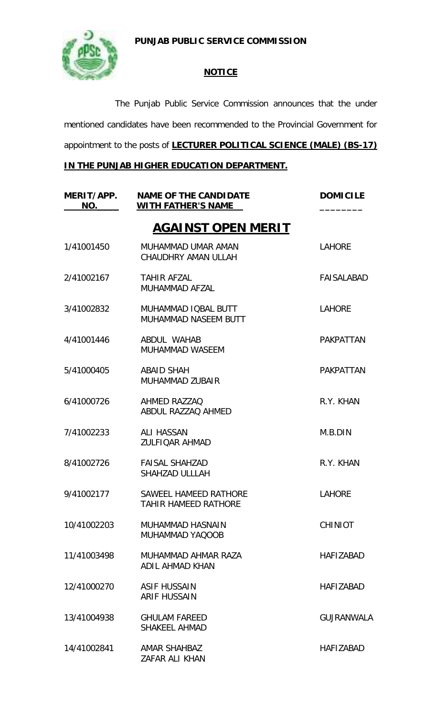**PUNJAB PUBLIC SERVICE COMMISSION**



## **NOTICE**

The Punjab Public Service Commission announces that the under mentioned candidates have been recommended to the Provincial Government for appointment to the posts of **LECTURER POLITICAL SCIENCE (MALE) (BS-17)**

## **IN THE PUNJAB HIGHER EDUCATION DEPARTMENT.**

| MERIT/APP.<br>NO. | <b>NAME OF THE CANDIDATE</b><br><b>WITH FATHER'S NAME</b> | <b>DOMICILE</b>   |
|-------------------|-----------------------------------------------------------|-------------------|
|                   | <b>AGAINST OPEN MERIT</b>                                 |                   |
| 1/41001450        | MUHAMMAD UMAR AMAN<br>CHAUDHRY AMAN ULLAH                 | <b>LAHORE</b>     |
| 2/41002167        | <b>TAHIR AFZAL</b><br>MUHAMMAD AFZAL                      | <b>FAISALABAD</b> |
| 3/41002832        | MUHAMMAD IQBAL BUTT<br><b>MUHAMMAD NASEEM BUTT</b>        | <b>LAHORE</b>     |
| 4/41001446        | ABDUL WAHAB<br><b>MUHAMMAD WASEEM</b>                     | <b>PAKPATTAN</b>  |
| 5/41000405        | ABAID SHAH<br>MUHAMMAD ZUBAIR                             | <b>PAKPATTAN</b>  |
| 6/41000726        | AHMED RAZZAQ<br>ABDUL RAZZAQ AHMED                        | R.Y. KHAN         |
| 7/41002233        | <b>ALI HASSAN</b><br><b>ZULFIOAR AHMAD</b>                | M.B.DIN           |
| 8/41002726        | <b>FAISAL SHAHZAD</b><br><b>SHAHZAD ULLLAH</b>            | R.Y. KHAN         |
| 9/41002177        | SAWEEL HAMEED RATHORE<br><b>TAHIR HAMEED RATHORE</b>      | <b>LAHORE</b>     |
| 10/41002203       | MUHAMMAD HASNAIN<br>MUHAMMAD YAQOOB                       | <b>CHINIOT</b>    |
| 11/41003498       | MUHAMMAD AHMAR RAZA<br><b>ADIL AHMAD KHAN</b>             | <b>HAFIZABAD</b>  |
| 12/41000270       | <b>ASIF HUSSAIN</b><br><b>ARIF HUSSAIN</b>                | <b>HAFIZABAD</b>  |
| 13/41004938       | <b>GHULAM FAREED</b><br><b>SHAKEEL AHMAD</b>              | GUJRANWALA        |
| 14/41002841       | <b>AMAR SHAHBAZ</b><br>ZAFAR ALI KHAN                     | <b>HAFIZABAD</b>  |